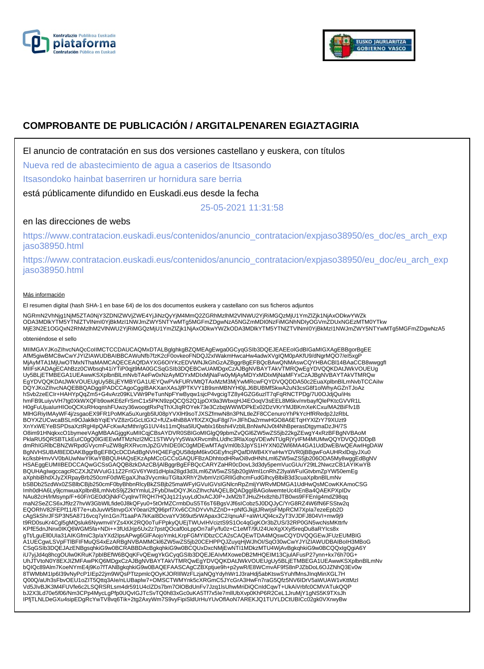



# **COMPROBANTE DE PUBLICACIÓN / ARGITALPENAREN EGIAZTAGIRIA**

El anuncio de contratación en sus dos versiones castellano y euskera, con títulos

Nueva red de abastecimiento de agua a caserios de Itsasondo

Itsasondoko hainbat baserriren ur hornidura sare berria

está públicamente difundido en Euskadi.eus desde la fecha

25-05-2021 11:31:58

## en las direcciones de webs

https://www.contratacion.euskadi.eus/contenidos/anuncio\_contratacion/expjaso38950/es\_doc/es\_arch\_exp jaso38950.html

https://www.contratacion.euskadi.eus/contenidos/anuncio\_contratacion/expjaso38950/eu\_doc/eu\_arch\_exp jaso38950.html

### Más información

El resumen digital (hash SHA-1 en base 64) de los dos documentos euskera y castellano con sus ficheros adjuntos

NGRmN2VhNjg1NjM5ZTA0NjY3ZDNlZWVjZWE4YjJiNzQyYjM4MmQ2ZGRhMzlhM2VlNWU2YjRiMGQzMjU1YmZlZjk1NjAxODkwYWZk ODA3MDlkYTM5YTNIZTVINmI0YjBkMzI1NWJmZWY5NTYwMTg5MGFmZDgwNzA5NGZmMDI0NzFiMGNhNDIyOGVmZDUxNGEzMTM0YTkw<br>MjE3N2E1OGQxN2RhMzlhM2VlNWU2YjRiMGQzMjU1YmZlZjk1NjAxODkwYWZkODA3MDlkYTM5YTNIZTVlNmI0YjBkMzI1NWJmZWY5NTYwMTg5MGFmZDgwNzA5

#### obteniéndose el sello

MIIMGAYJKoZIhvcNAQcCoIIMCTCCDAUCAQMxDTALBglghkgBZQMEAgEwga0GCyqGSIb3DQEJEAEEoIGdBIGaMIGXAgEBBgorBgEE<br>AfM5giwBMC8wCwYJYIZIAWUDBAIBBCAWuNfb7fzK2cF0ovkeoFNDQJ2xIWakmHwcaHw4adwXVgIQM0pAKfU9/dNgrMQO7/eI5xgP MjAyMTA1MjUwOTMxNThaMAMCAQECEAQfDAYXG6OIYKzEDVWNJkGhGzAZBggrBgEFBQcBAwQNMAswCQYHBACBI14BAaCCB8wwggfl<br>MIIFsKADAgECAhBzz0CWbsqh41iYTiP0qjt9MA0GCSqGSIb3DQEBCwUAMDgxCzAJBgNVBAYTAkVTMRQwEgYDVQQKDAtJWkVOUEUg Uy5BLjETMBEGA1UEAwwKSXplbnBlLmNvbTAeFw0xNzAyMDYxMDIxMjNaFw0yMjAyMDYxMDIxMjNaMFYxCzAJBgNVBAYTAkVTMRQw EgYDVQQKDAtJWkVOUEUgUy5BLjEYMBYGA1UEYQwPVkFURVMtQTAxMzM3MjYwMRcwFQYDVQQDDA50c2EuaXplbnBlLmNvbTCCAiIw DQYJKoZIhvcNAQEBBQADggIPADCCAgoCggIBAKXanXAsJjfPTKVY1B9smMBNYH0jLJ6BUBMfSkwA2uN3csG8f1olWhyAGZnTJoAz hSvb2zeECIr+HAHYpQqZm5+G4vArz09KLVWr9PeTunNpFYwByqw1sjcP4vgcigTZ8y4GZG6uzlT7qFqRNCTPDg/7U0OJdjQu/iHs hmFB9LuiyvVH7tg0XkWXQFb9owKE6zFrSmC1x5PKN9zpQCQS2Q1jpOX9a3WbxqHJ4EOoqV3sEEL8M6kv/mrbayfQlePKtcGVVR1L<br>H0gFuUjualurHlOoQCKsRHoqnshFUwzy36woogtRxPqThXJIqROYek73e3CzbqWWWDPkEx02DzVKrYMJBKmXeKCxu/MA2BiFfv1B<br>MIHGRiyIMAyWF4j/zsga XnYxWEYeBSPDsaXztRgHIpQAFcKwAzMthr/gG1UV4s11mQlsa5lUQwblx16bshi4VzblLBnNwNJv0t4NhBperasDtgymaDzJH/7S O8im91HNqkxcO1bymeeVAgMBAAGjggKuMIICqjCBsAYDVR0SBIGoMIGlgQ9pbmZvQGl6ZW5wZS5jb22kgZEwgY4xRzBFBgNVBAoM PklaRU5QRSBTLkEuIC0gQ0lGIEEwMTMzNzI2MC1STWVyYy5WaXRvcmlhLUdhc3RlaXogVDEwNTUgRjYyIFM4MUMwQQYDVQQJDDpB dmRhIGRlbCBNZWRpdGVycmFuZW8gRXRvcmJpZGVhIDE0IC0gMDEwMTAgVml0b3JpYS1HYXN0ZWl6MA4GA1UdDwEB/wQEAwIHgDAW BgNVHSUBAf8EDDAKBggrBgEFBQcDCDAdBgNVHQ4EFgQU58dpM6kv0GEyfncjPQafDIWB4XYwHwYDVR0jBBgwFoAUHRxlDqjyJXu0<br>kc/ksbHmvVV0bAUwNwYIKwYBBQUHAQsEKzApMCcGCCsGAQUFBzADhhtodHRwOi8vdHNhLml6ZW5wZS5jb206ODA5My8wggEdBgNV HSAEggEUMIIBEDCCAQwGCSsGAQQB8zkDAzCB/jAlBggrBgEFBQcCARYZaHR0cDovL3d3dy5pemVucGUuY29tL2NwczCB1AYIKwYB BQUHAgIwgccagcRCZXJtZWVuIG11Z2FrIGV6YWd1dHpla28gd3d3Lml6ZW5wZS5jb20gWml1cnRhZ2lyaWFuIGtvbmZpYW50emEg aXphbiBhdXJyZXRpayBrb250cmF0dWEgaXJha3VycmkuTGltaXRhY2lvbmVzIGRlIGdhcmFudGlhcyBlbiB3d3cuaXplbnBlLmNv bSBDb25zdWx0ZSBlbCBjb250cmF0byBhbnRlcyBkZSBjb25maWFyIGVuIGVsIGNlcnRpZmljYWRvMDMGA1UdHwQsMCowKKAmoCSG Imh0dHA6Ly9jcmwuaXplbnBlLmNvbS9jZ2ktYmluL2FybDIwDQYJKoZIhvcNAQELBQADggIBAGolwemteUc4IEnBa4QAEKPXpIDv NAu82cH/lrMsynp/F+60F/rGE0dOjNkFCyqlrwTRQH7HQJq121yuyLdOxACJ0P+JxM2bTJHuZHx8zhbJTB0ws9FFEnIg4mdZ98qq maN2SeZCS6xJf9z27hvW3GbWlLfide0J8kQFyu0+5tOrMZCrmbDuS5T6sT6BgsVJf6sICobz5J0DQJyC/YrG8RZ4W6fN6FSStw2q EQORhV82FEPf11/6T7e+ubJuvW5tnvpGXY0eari2fQ96prf7Xv6CChDYvVhZZnD++pNfGJkjjtJRwrjsFMpRCM7Xpla7ezeEpb2D<br>cAgSkShrJFSP3N5A8716vcq7yIn1Gn7f1aaPA7kKaI8DcvaYV369ut5rWApax3C2/qnuAF+aWrUQl4cxZyT3VJDFJ804VI+mw9j9<br>t9RD0suKr4Cgl5gMQslu KPfE5dnJNnx0IKQ6WGM5fa+NDi++3fUdJrjp5Ux2z7pstQOcaf0oLppOn7aFy/fu0z+C1eMT/9U24UeXgXXyl5reqDu8aRYIcs8x gTt/LguEll0UIa31AIKGfmiC3p/aYXd2IpsAPwg6GlFAojoYmkLKrpFGMYIDbzCCA2sCAQEwTDA4MQswCQYDVQQGEwJFUzEUMBIG A1UECgwLSVpFTlBFIFMuQS4xEzARBgNVBAMMCkl6ZW5wZS5jb20CEHPPQJZuyqHjWJhOI/SqO30wCwYJYIZIAWUDBAIBoIH3MBoG CSqGSIb3DQEJAzENBgsqhkiG9w0BCRABBDAcBgkqhkiG9w0BCQUxDxcNMjEwNTI1MDkzMTU4WjAvBgkqhkiG9w0BCQQxIgQgiA6Y iU7yjJd4q8hcgOUlw0KRuK7pbIBEfW6BQqKFvQEwgYkGCyqGSIb3DQEJEAIvMXoweDB2MHQEIM13CjulAFusP27ynn+kx76h70G+ UhJTVtoN0Y8EXJIZMFAwPKQ6MDgxCzAJBgNVBAYTAkVTMRQwEgYDVQQKDAtJWkVOUEUgUy5BLjETMBEGA1UEAwwKSXplbnBlLmNv bQlQc89Alm7KoeNYmE4j9Ko7fTANBgkqhkiG9w0BAQEFAASCAgCZBXptjue9h+p2ywR/E8WCmvAF9fS8nPJZbDoL6OJZNhQ3Ev0w<br>8TWMbM1Ip6l39vNyPcP1IEp22jm9WQsPTtzpmlcQOyKJORIIIWzFLzjaNQgYdyhWr1J3raHdj5abKtswSYuhfMnsJInqMinXGL7H<br>Q00Q/aUh3sFbvOEU1oZI Vd5JIvBJK3M4FUVfe6c2LSQRSRLsm4dr591U4clZDs7bm7OlOBdUnFv7Jzq1lsUhwMriDiQCnIdCqwT+UkAiVrbfc0CMVATukQQP bJ2X3Ld70e5f06/Nm3CPp4MycLgPfp0UQvIGJTcSvTQ0h83xGc0uKA5Tf7x5Ie7mllUbXvp0KhP6R2CeL1JruMjY1gNS5K9TXsJh IPfjTLNLDeGXu4sipEDgRcYwTV8vq6Tik+2tg2AxyWm7S9vyFipiSldUrHuYUvOflAoN7AREKJQ1TUYLDCtUBICc02gk0VXrwyBw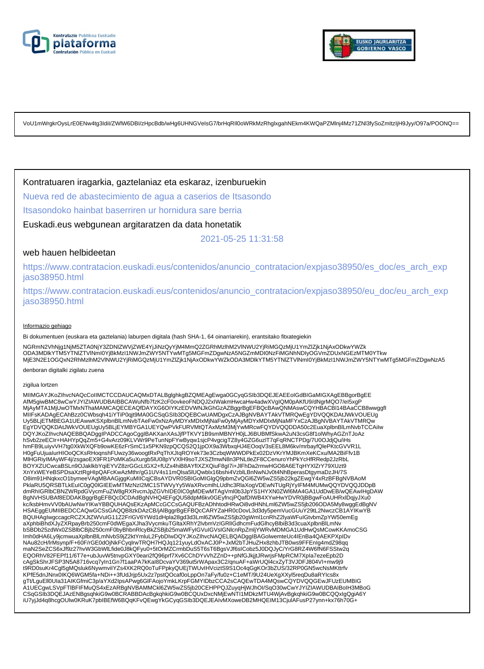



VoU1mWrgkrOysLrE0ENw4tg3IdiI/ZWlW6DBI/zHpcBdb/wHg6UHNGVeIsG7/brHqRIl0oWRkMzRhglxgahNEkm4KWQaPZMlnj4Mz71ZNl3fySoZmItzIjH9Jyy/O97a/POONQ==

## Kontratuaren iragarkia, gaztelaniaz eta eskaraz, izenburuekin

Nueva red de abastecimiento de agua a caserios de Itsasondo

Itsasondoko hainbat baserriren ur hornidura sare berria

Euskadi.eus webgunean argitaratzen da data honetatik

2021-05-25 11:31:58

## web hauen helbideetan

https://www.contratacion.euskadi.eus/contenidos/anuncio\_contratacion/expjaso38950/es\_doc/es\_arch\_exp jaso38950.html

https://www.contratacion.euskadi.eus/contenidos/anuncio\_contratacion/expjaso38950/eu\_doc/eu\_arch\_exp jaso38950.html

#### Informazio gehiago

Bi dokumentuen (euskara eta gaztelania) laburpen digitala (hash SHA-1, 64 oinarriarekin), erantsitako fitxategiekin

NGRmN2VhNjg1NjM5ZTA0NjY3ZDNIZWVjZWE4YjJiNzQyYjM4MmQ2ZGRhMzlhM2VINWU2YjRiMGQzMjU1YmZlZjk1NjAxODkwYWZk<br>ODA3MDlkYTM5YTNIZTVINmI0YjBkMzI1NWJmZWY5NTYwMTg5MGFmZDgwNzA5NGZmMDI0NzFiMGNhNDIyOGVmZDUxNGEzMTM0YTkw MjE3N2E1OGQxN2RhMzlhM2VlNWU2YjRiMGQzMjU1YmZlZjk1NjAxODkwYWZkODA3MDlkYTM5YTNlZTVlNmI0YjBkMzI1NWJmZWY5NTYwMTg5MGFmZDgwNzA5

denboran digitalki zigilatu zuena

#### zigilua lortzen

MIIMGAYJKoZIhvcNAQcCoIIMCTCCDAUCAQMxDTALBglghkgBZQMEAgEwga0GCyqGSIb3DQEJEAEEoIGdBIGaMIGXAgEBBgorBgEE AfM5giwBMC8wCwYJYIZIAWUDBAIBBCAWuNfb7fzK2cF0ovkeoFNDQJ2xIWakmHwcaHw4adwXVgIQM0pAKfU9/dNgrMQO7/eI5xgP MjAyMTA1MjUwOTMxNThaMAMCAQECEAQfDAYXG6OIYKzEDVWNJkGhGzAZBggrBgEFBQcBAwQNMAswCQYHBACBl14BAaCCB8wwggfI MIIFsKADAgECAhBzz0CWbsqh41iYTiP0qjt9MA0GCSqGSIb3DQEBCwUAMDgxCzAJBgNVBAYTAkVTMRQwEgYDVQQKDAtJWkVOUEUg Uy5BLjETMBEGA1UEAwwKSXplbnBlLmNvbTAeFw0xNzAyMDYxMDIxMjNaFw0yMjAyMDYxMDIxMjNaMFYxCzAJBgNVBAYTAkVTMRQw<br>EgYDVQQKDAtJWkVOUEUgUy5BLjEYMBYGA1UEYQwPVkFURVMtQTAxMzM3MjYwMRcwFQYDVQQDDA50c2EuaXplbnBlLmNvbTCCAiIw DQYJKoZIhvcNAQEBBQADggIPADCCAgoCggIBAKXanXAsJjfPTKVY1B9smMBNYH0jLJ6BUBMfSkwA2uN3csG8f1olWhyAGZnTJoAz<br>hSvb2zeECIr+HAHYpQqZm5+G4vArz09KLVWr9PeTunNpFYwByqw1sjcP4vgcigTZ8y4GZG6uzlT7qFqRNCTPDg/7U0OJdjQu/iHs hmFB9LuiyvVH7tg0XkWXQFb9owKE6zFrSmC1x5PKN9zpQCQS2Q1jpOX9a3WbxqHJ4EOoqV3sEEL8M6kv/mrbayfQlePKtcGVVR1L<br>H0gFuUjuaIurHIOoQCKsRHoqnshFUwzy36woogtRxPqThXJIqROYek73e3CzbqWWWDPkEx02DzVKrYMJBKmXeKCxu/MA2BiFfv1B MlHGRiyIMAyWF4j/zsgaoEX9FR1PoMKa5uXurgb5lU08pYVXlH9soTJXSZfmwN8n3PNLtleZF8CCenuroYhPkYcHfRRedp2JzRbL BOYXZUCwcaBSLn9OJaklkbYqiEYVZ8zrGGcLtGX2+fUZx4hiB8AYfIXZXQiuF8gI7i+JlFhDa2rmwHGO8A6ETqHYXlZrY79XUzt9 XnYxWEYeBSPDsaXztRgHIpQAFcKwAzMthr/gG1UV4s11mQlsa5lUQwblx16bshi4VzblLBnNwNJv0t4NhBperasDtgymaDzJH/7S O8im91HNqkxcO1bymeeVAgMBAAGjggKuMIICqjCBsAYDVR0SBIGoMIGlgQ9pbmZvQGl6ZW5wZS5jb22kgZEwgY4xRzBFBgNVBAoM PklaRU5QRSBTLkEuIC0gQ0IGIEEwMTMzNzI2MC1STWVyYy5WaXRvcmlhLUdhc3RlaXogVDEwNTUgRjYyIFM4MUMwQQYDVQQJDDpB<br>dmRhIGRIbCBNZWRpdGVycmFuZW8gRXRvcmJpZGVhIDE0IC0gMDEwMTAgVml0b3JpYS1HYXN0ZWI6MA4GA1UdDwEB/wQEAwIHgDAW BgNVHSUBAf8EDDAKBggrBgEFBQcDCDAdBgNVHQ4EFgQU58dpM6kv0GEyfncjPQafDIWB4XYwHwYDVR0jBBgwFoAUHRxlDqjyJXu0<br>kc/ksbHmvVV0bAUwNwYIKwYBBQUHAQsEKzApMCcGCCsGAQUFBzADhhtodHRwOi8vdHNhLml6ZW5wZS5jb206ODA5My8wggEdBgNV HSAEggEUMIIBEDCCAQwGCSsGAQQB8zkDAzCB/jAlBggrBgEFBQcCARYZaHR0cDovL3d3dy5pemVucGUuY29tL2NwczCB1AYIKwYB BQUHAgIwgccagcRCZXJtZWVuIG11Z2FrIGV6YWd1dHpla28gd3d3Lml6ZW5wZS5jb20gWml1cnRhZ2lyaWFuIGtvbmZpYW50emEg aXphbiBhdXJyZXRpayBrb250cmF0dWEgaXJha3VycmkuTGltaXRhY2lvbmVzIGRIIGdhcmFudGlhcyBlbiB3d3cuaXplbnBlLmNv<br>bSBDb25zdWx0ZSBlbCBjb250cmF0byBhbnRlcyBkZSBjb25maWFyIGVuIGVsIGNlcnRpZmljYWRvMDMGA1UdHwQsMCowKKAmoCSG Imh0dHA6Ly9jcmwuaXplbnBlLmNvbS9jZ2ktYmluL2FybDIwDQYJKoZIhvcNAQELBQADggIBAGolwemteUc4IEnBa4QAEKPXpIDv<br>NAu82cH/lrMsynp/F+60F/rGE0dOjNkFCyqlrwTRQH7HQJq121yuyLdOxACJ0P+JxM2bTJHuZHx8zhbJTB0ws9FFEnIg4mdZ98qq maN2SeZCS6xJf9z27hvW3GbWlLfide0J8kQFyu0+5tOrMZCrmbDuS5T6sT6BgsVJf6sICobz5J0DQJyC/YrG8RZ4W6fN6FSStw2q EQORhV82FEPf11/6T7e+ubJuvW5tnvpGXY0eari2fQ96prf7Xv6CChDYvVhZZnD++pNfGJkjjtJRwrjsFMpRCM7XpIa7ezeEpb2D cAgSkShrJFSP3N5A8716vcq7yIn1Gn7f1aaPA7kKaI8DcvaYV369ut5rWApax3C2/qnuAF+aWrUQl4cxZyT3VJDFJ804VI+mw9j9 t9RD0suKr4Cgl5gMQsluk6NywmviIYZs4XK2RQ0oTuFPpkyQUEjTWUvIHVciztS9S1Oc4qGgKOr3bZUS/32RP0GN5wcNsMKttrfv KPfE5dnJNnx0IKQ6WGM5fa+NDi++3fUdJrjp5Ux2z7pstQOcaf0oLppOn7aFy/fu0z+C1eMT/9U24UeXgXXyl5reqDu8aRYIcs8x gTt/LguEll0UIa31AIKGfmiC3p/aYXd2IpsAPwg6GlFAojoYmkLKrpFGMYIDbzCCA2sCAQEwTDA4MQswCQYDVQQGEwJFUzEUMBIG A1UECgwLSVpFTIBFIFMuQS4xEzARBgNVBAMMCkl6ZW5wZS5jb20CEHPPQJZuyqHjWJhOl/SqO30wCwYJYIZIAWUDBAIBoIH3MBoG<br>CSqGSIb3DQEJAzENBgsqhkiG9w0BCRABBDAcBgkqhkiG9w0BCQUxDxcNMjEwNTI1MDkzMTU4WjAvBgkqhkiG9w0BCQQxIgQgiA6Y iU7yjJd4q8hcgOUlw0KRuK7pbIBEfW6BQqKFvQEwgYkGCyqGSIb3DQEJEAIvMXoweDB2MHQEIM13CjulAFusP27ynn+kx76h70G+